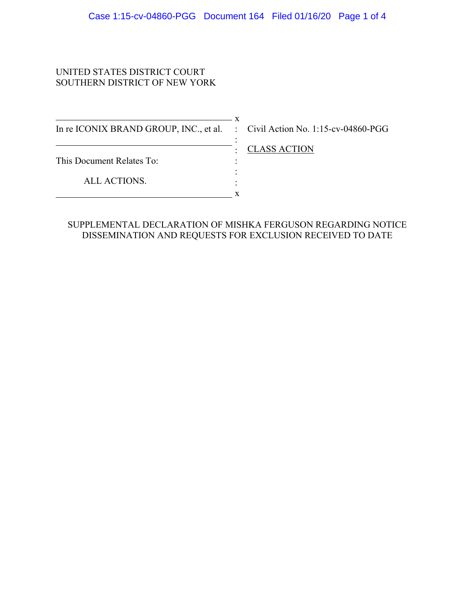#### UNITED STATES DISTRICT COURT SOUTHERN DISTRICT OF NEW YORK

In re ICONIX BRAND GROUP, INC., et al. : Civil Action No. 1:15-cv-04860-PGG

 $\overline{\phantom{a}}$  x

This Document Relates To:

ALL ACTIONS.  $\overline{\phantom{a}}$  x

: CLASS ACTION

#### SUPPLEMENTAL DECLARATION OF MISHKA FERGUSON REGARDING NOTICE DISSEMINATION AND REQUESTS FOR EXCLUSION RECEIVED TO DATE

:

: : :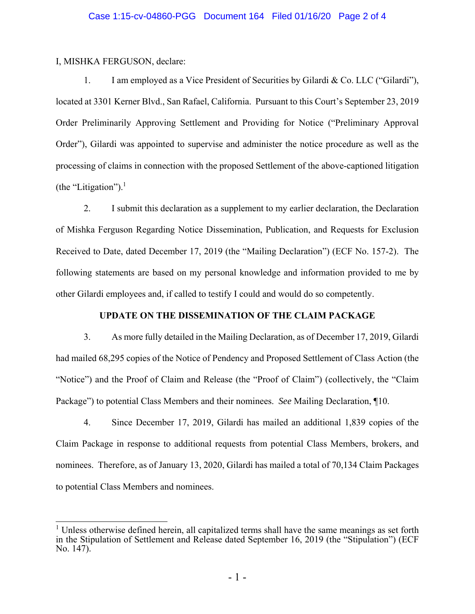### Case 1:15-cv-04860-PGG Document 164 Filed 01/16/20 Page 2 of 4

I, MISHKA FERGUSON, declare:

 $\overline{a}$ 

1. I am employed as a Vice President of Securities by Gilardi & Co. LLC ("Gilardi"), located at 3301 Kerner Blvd., San Rafael, California. Pursuant to this Court's September 23, 2019 Order Preliminarily Approving Settlement and Providing for Notice ("Preliminary Approval Order"), Gilardi was appointed to supervise and administer the notice procedure as well as the processing of claims in connection with the proposed Settlement of the above-captioned litigation (the "Litigation"). $<sup>1</sup>$ </sup>

2. I submit this declaration as a supplement to my earlier declaration, the Declaration of Mishka Ferguson Regarding Notice Dissemination, Publication, and Requests for Exclusion Received to Date, dated December 17, 2019 (the "Mailing Declaration") (ECF No. 157-2). The following statements are based on my personal knowledge and information provided to me by other Gilardi employees and, if called to testify I could and would do so competently.

### **UPDATE ON THE DISSEMINATION OF THE CLAIM PACKAGE**

3. As more fully detailed in the Mailing Declaration, as of December 17, 2019, Gilardi had mailed 68,295 copies of the Notice of Pendency and Proposed Settlement of Class Action (the "Notice") and the Proof of Claim and Release (the "Proof of Claim") (collectively, the "Claim Package") to potential Class Members and their nominees. *See* Mailing Declaration, ¶10.

4. Since December 17, 2019, Gilardi has mailed an additional 1,839 copies of the Claim Package in response to additional requests from potential Class Members, brokers, and nominees. Therefore, as of January 13, 2020, Gilardi has mailed a total of 70,134 Claim Packages to potential Class Members and nominees.

<sup>&</sup>lt;sup>1</sup> Unless otherwise defined herein, all capitalized terms shall have the same meanings as set forth in the Stipulation of Settlement and Release dated September 16, 2019 (the "Stipulation") (ECF No. 147).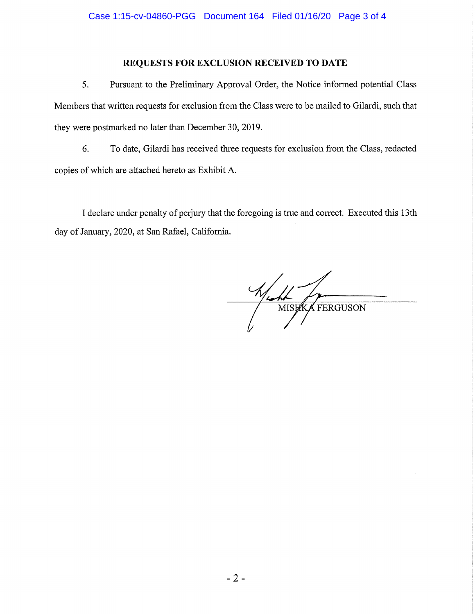### **REQUESTS FOR EXCLUSION RECEIVED TO DATE**

5. Pursuant to the Preliminary Approval Order, the Notice informed potential Class Members that written requests for exclusion from the Class were to be mailed to Gilardi, such that they were postmarked no later than December 30, 2019.

6. To date, Gilardi has received three requests for exclusion from the Class, redacted copies of which are attached hereto as Exhibit A.

I declare under penalty of perjury that the foregoing is true and correct. Executed this 13th day of January, 2020, at San Rafael, California.

Wish Com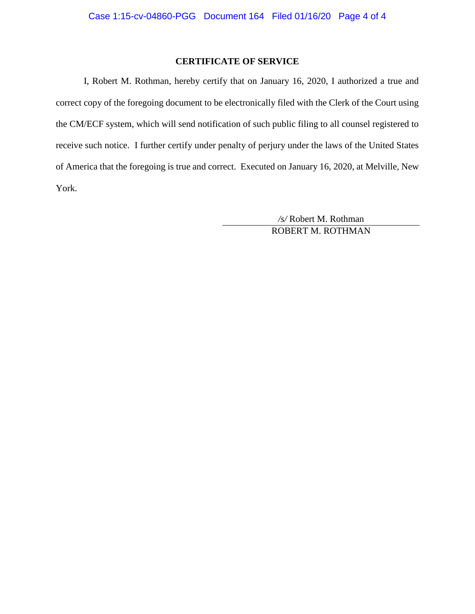### **CERTIFICATE OF SERVICE**

I, Robert M. Rothman, hereby certify that on January 16, 2020, I authorized a true and correct copy of the foregoing document to be electronically filed with the Clerk of the Court using the CM/ECF system, which will send notification of such public filing to all counsel registered to receive such notice. I further certify under penalty of perjury under the laws of the United States of America that the foregoing is true and correct. Executed on January 16, 2020, at Melville, New York.

> */s/* Robert M. Rothman ROBERT M. ROTHMAN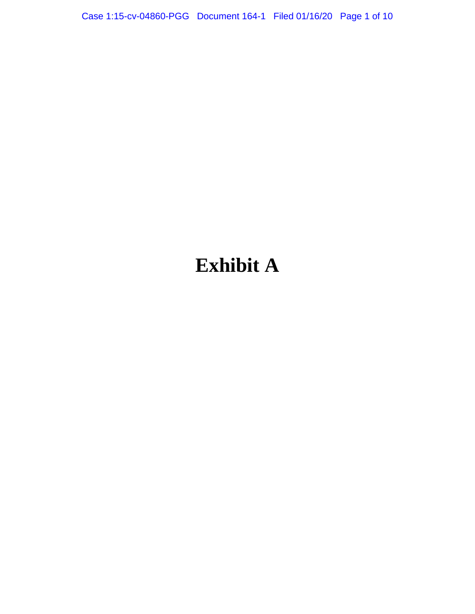Case 1:15-cv-04860-PGG Document 164-1 Filed 01/16/20 Page 1 of 10

### **Exhibit A**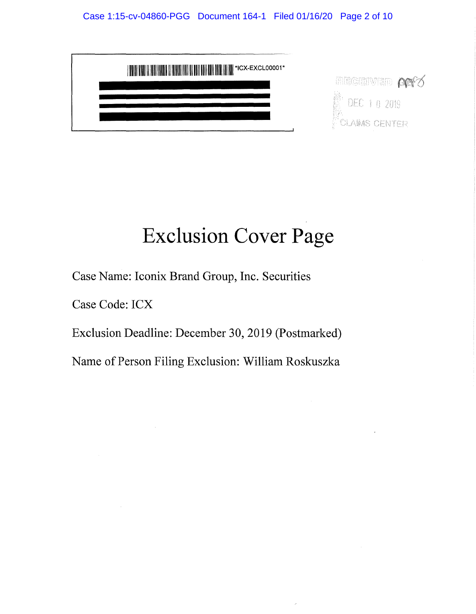

## **Exclusion Cover Page**

Case Name: Iconix Brand Group, Inc. Securities

Case Code: ICX

Exclusion Deadline: December 30, 2019 (Postmarked)

Name of Person Filing Exclusion: William Roskuszka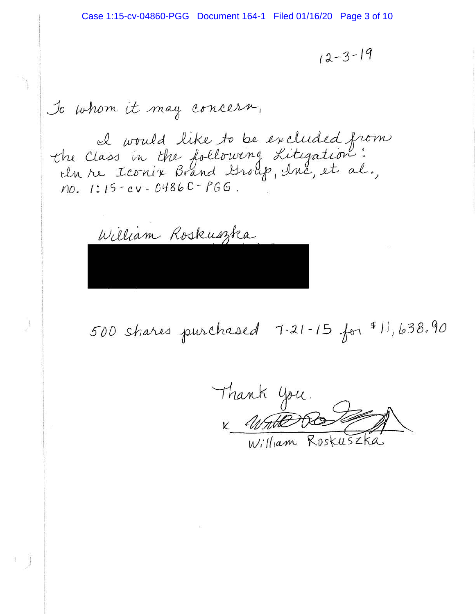$12 - 3 - 19$ 

To whom it may concern,

che Class in the following Literation:<br>the Class in the following Literation:<br>the Iconix Brand Group, duc, et al., no. 1:15 - cv - 04860 - PGG.

William Roskuszka

500 shares purchased 7-21-15 for \$11,638.90

Thank you William Roskuszka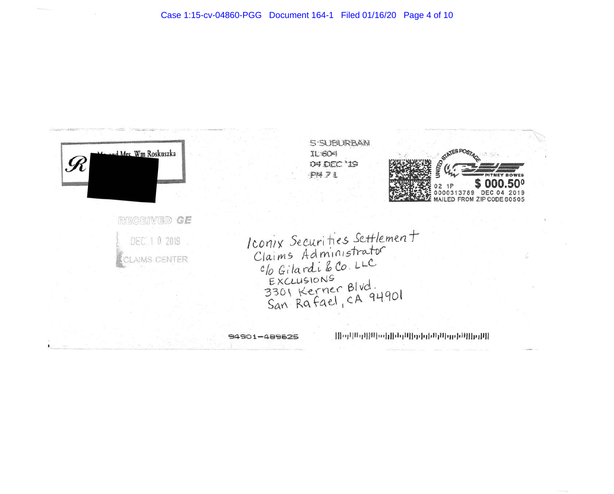



|||որհինգվ||ինգհիրիներ||գրական ինգում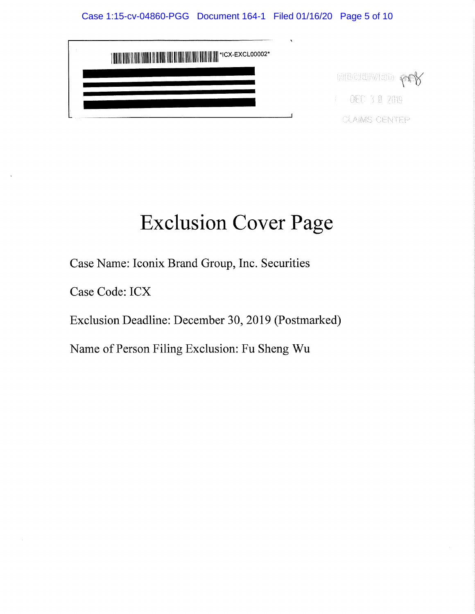| <b>THE BULLET RESERVED BY A SET OF A SET OF A SET OF A SET OF A SET OF A SET OF A SET OF A SET OF A SET OF A SET</b> |                      |
|----------------------------------------------------------------------------------------------------------------------|----------------------|
|                                                                                                                      | <b>RECEIWED PCY</b>  |
|                                                                                                                      | $\pm$ 0EC 3.0 2019.  |
|                                                                                                                      | <b>CLAIMS CENTEP</b> |

# **Exclusion Cover Page**

Case Name: Iconix Brand Group, Inc. Securities

Case Code: ICX

Exclusion Deadline: December 30, 2019 (Postmarked)

Name of Person Filing Exclusion: Fu Sheng Wu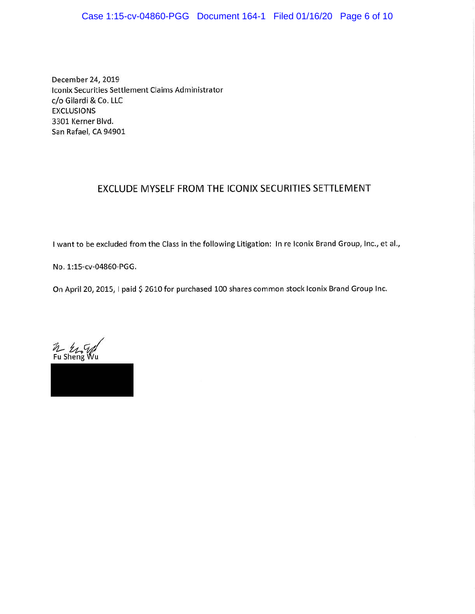### Case 1:15-cv-04860-PGG Document 164-1 Filed 01/16/20 Page 6 of 10

December 24, 2019 Iconix Securities Settlement Claims Administrator c/o Gilardi & Co. LLC **EXCLUSIONS**  3301 Kerner Blvd. San Rafael, CA 94901

### EXCLUDE MYSELF FROM THE ICONIX SECURITIES SETTLEMENT

I want to be excluded from the Class in the following Litigation: In re Iconix Brand Group, Inc., et al.,

**No. 1:15-cv-04860-PGG.** 

On April 20, 2015, I paid \$ 2610 for purchased 100 shares common stock lconix Brand Group Inc.

~ *~r;A/*  Fu Sheng Wu

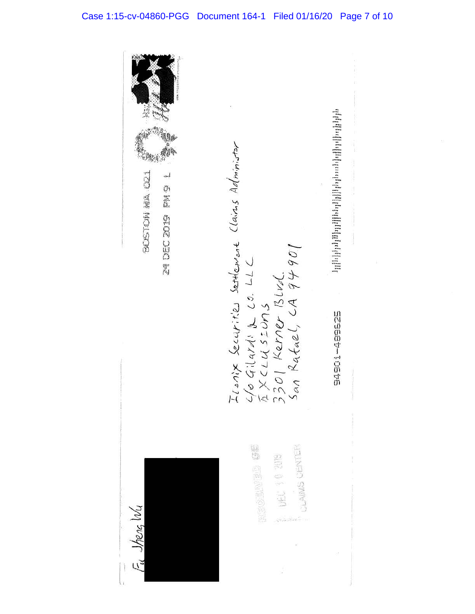Icanix Securites settlement Clains Administer<br>46 Gilardi & Co. LLC<br>4 X CLU SIUNS<br>3301 Kerner Blud.<br>5an Rafael, CA 94901 BOLETON MA (21 24 DEC 2019 FM 9 1 545054505 **をきる (日目)の目的) にっぽう** ULAINIS CENTER ENEL 10 2019  $J$ heng  $W<sub>4</sub>$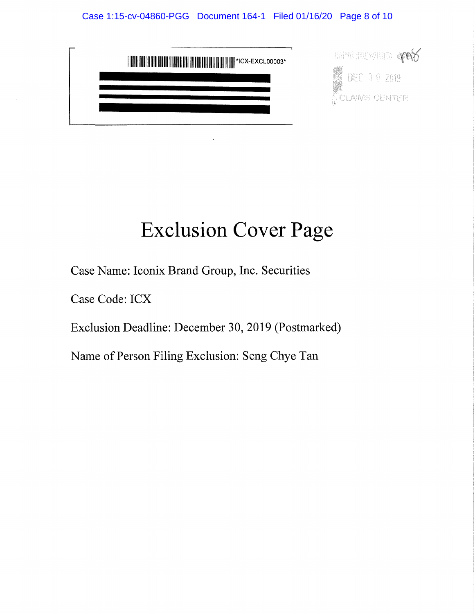### Case 1:15-cv-04860-PGG Document 164-1 Filed 01/16/20 Page 8 of 10



### **Exclusion Cover Page**

Case Name: Iconix Brand Group, Inc. Securities

Case Code: ICX

Exclusion Deadline: December 30, 2019 (Postmarked)

Name of Person Filing Exclusion: Seng Chye Tan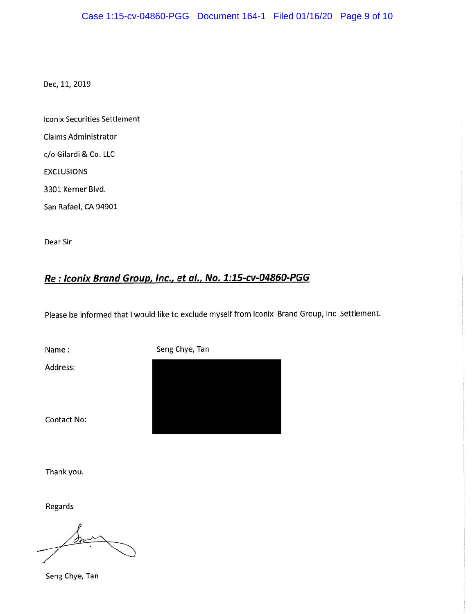Dec, 11, 2019

lconix Securities Settlement

Claims Administrator

c/o Gilardi & Co. LLC

EXCLUSIONS

3301 Kerner Blvd.

San Rafael, CA 94901

Dear Sir

### **Re : lconix Brand Group, Inc., et al., No. 1:15-cv-04860-PGG**

Please be informed that I would like to exclude myself from lconix Brand Group, Inc Settlement.

Name : Seng Chye, Tan

Address:

Contact No:

Thank you.

Regards

or

Seng Chye, Tan